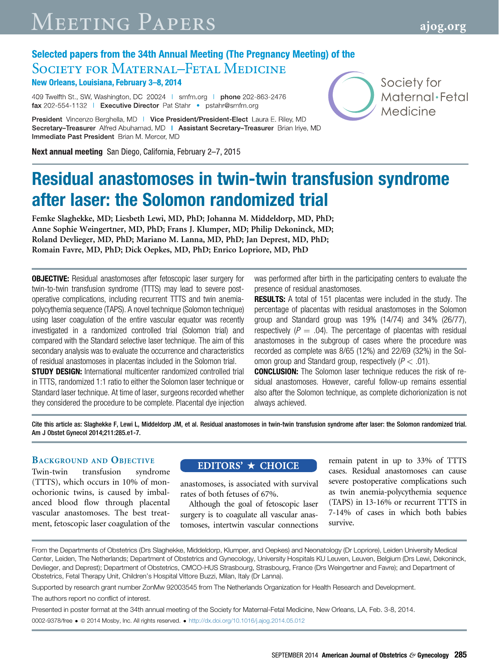## **SOCIETY FOR MATERNAL-FETAL MEDICINE** New Orleans, Louisiana, February 3-8, 2014

409 Twelfth St., SW, Washington, DC 20024 | smfm.org | phone 202-863-2476 fax 202-554-1132 | Executive Director Pat Stahr · pstahr@smfm.org

President Vincenzo Berghella, MD | Vice President/President-Elect Laura E. Riley, MD Secretary-Treasurer Alfred Abuhamad, MD | Assistant Secretary-Treasurer Brian Iriye, MD Immediate Past President Brian M. Mercer, MD

Next annual meeting San Diego, California, February 2-7, 2015



Society for Maternal·Fetal Medicine

# Residual anastomoses in twin-twin transfusion syndrome after laser: the Solomon randomized trial

Femke Slaghekke, MD; Liesbeth Lewi, MD, PhD; Johanna M. Middeldorp, MD, PhD; Anne Sophie Weingertner, MD, PhD; Frans J. Klumper, MD; Philip Dekoninck, MD; Roland Devlieger, MD, PhD; Mariano M. Lanna, MD, PhD; Jan Deprest, MD, PhD; Romain Favre, MD, PhD; Dick Oepkes, MD, PhD; Enrico Lopriore, MD, PhD

**OBJECTIVE:** Residual anastomoses after fetoscopic laser surgery for twin-to-twin transfusion syndrome (TTTS) may lead to severe postoperative complications, including recurrent TTTS and twin anemiapolycythemia sequence (TAPS). A novel technique (Solomon technique) using laser coagulation of the entire vascular equator was recently investigated in a randomized controlled trial (Solomon trial) and compared with the Standard selective laser technique. The aim of this secondary analysis was to evaluate the occurrence and characteristics of residual anastomoses in placentas included in the Solomon trial.

**STUDY DESIGN:** International multicenter randomized controlled trial in TTTS, randomized 1:1 ratio to either the Solomon laser technique or Standard laser technique. At time of laser, surgeons recorded whether they considered the procedure to be complete. Placental dye injection

was performed after birth in the participating centers to evaluate the presence of residual anastomoses.

**RESULTS:** A total of 151 placentas were included in the study. The percentage of placentas with residual anastomoses in the Solomon group and Standard group was 19% (14/74) and 34% (26/77), respectively ( $P = .04$ ). The percentage of placentas with residual anastomoses in the subgroup of cases where the procedure was recorded as complete was 8/65 (12%) and 22/69 (32%) in the Solomon group and Standard group, respectively ( $P < .01$ ).

CONCLUSION: The Solomon laser technique reduces the risk of residual anastomoses. However, careful follow-up remains essential also after the Solomon technique, as complete dichorionization is not always achieved.

Cite this article as: Slaghekke F, Lewi L, Middeldorp JM, et al. Residual anastomoses in twin-twin transfusion syndrome after laser: the Solomon randomized trial. Am J Obstet Gynecol 2014;211:285.e1-7.

Twin-twin transfusion syndrome (TTTS), which occurs in 10% of monochorionic twins, is caused by imbalanced blood flow through placental vascular anastomoses. The best treatment, fetoscopic laser coagulation of the

## EDITORS'  $\star$  CHOICE

anastomoses, is associated with survival rates of both fetuses of 67%.

Although the goal of fetoscopic laser surgery is to coagulate all vascular anastomoses, intertwin vascular connections

remain patent in up to 33% of TTTS cases. Residual anastomoses can cause severe postoperative complications such as twin anemia-polycythemia sequence (TAPS) in 13-16% or recurrent TTTS in 7-14% of cases in which both babies survive.

From the Departments of Obstetrics (Drs Slaghekke, Middeldorp, Klumper, and Oepkes) and Neonatology (Dr Lopriore), Leiden University Medical Center, Leiden, The Netherlands; Department of Obstetrics and Gynecology, University Hospitals KU Leuven, Leuven, Belgium (Drs Lewi, Dekoninck, Devlieger, and Deprest); Department of Obstetrics, CMCO-HUS Strasbourg, Strasbourg, France (Drs Weingertner and Favre); and Department of Obstetrics, Fetal Therapy Unit, Children's Hospital Vittore Buzzi, Milan, Italy (Dr Lanna).

Supported by research grant number ZonMw 92003545 from The Netherlands Organization for Health Research and Development.

The authors report no conflict of interest.

Presented in poster format at the 34th annual meeting of the Society for Maternal-Fetal Medicine, New Orleans, LA, Feb. 3-8, 2014. 0002-9378/free • © 2014 Mosby, Inc. All rights reserved. • <http://dx.doi.org/10.1016/j.ajog.2014.05.012>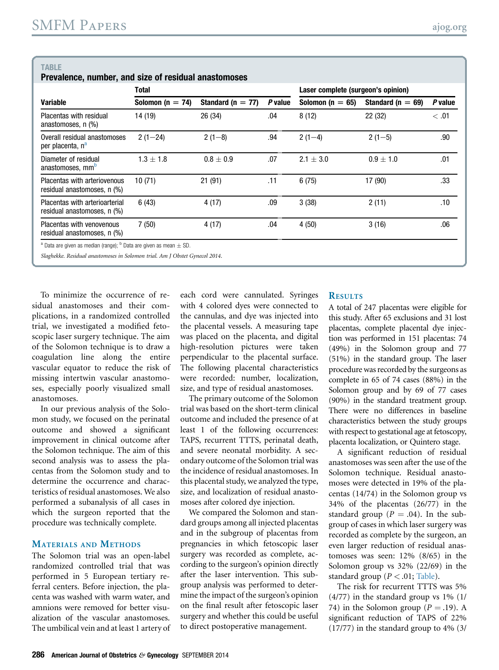| <b>TABLE</b><br>Prevalence, number, and size of residual anastomoses                         |                      |                       |         |                                    |                       |         |
|----------------------------------------------------------------------------------------------|----------------------|-----------------------|---------|------------------------------------|-----------------------|---------|
| <b>Variable</b>                                                                              | Total                |                       |         | Laser complete (surgeon's opinion) |                       |         |
|                                                                                              | Solomon ( $n = 74$ ) | Standard ( $n = 77$ ) | P value | Solomon ( $n = 65$ )               | Standard ( $n = 69$ ) | P value |
| Placentas with residual<br>anastomoses, $n$ $%$                                              | 14 (19)              | 26 (34)               | .04     | 8(12)                              | 22 (32)               | <.01    |
| Overall residual anastomoses<br>per placenta, n <sup>a</sup>                                 | $2(1-24)$            | $2(1-8)$              | .94     | $2(1-4)$                           | $2(1-5)$              | .90     |
| Diameter of residual<br>anastomoses, mm <sup>p</sup>                                         | $1.3 \pm 1.8$        | $0.8 \pm 0.9$         | .07     | $2.1 \pm 3.0$                      | $0.9 \pm 1.0$         | .01     |
| Placentas with arteriovenous<br>residual anastomoses, n (%)                                  | 10 (71)              | 21(91)                | .11     | 6(75)                              | 17 (90)               | .33     |
| Placentas with arterioarterial<br>residual anastomoses, n (%)                                | 6(43)                | 4 (17)                | .09     | 3(38)                              | 2(11)                 | .10     |
| Placentas with venovenous<br>residual anastomoses, n (%)                                     | 7(50)                | 4 (17)                | .04     | 4(50)                              | 3(16)                 | .06     |
| <sup>a</sup> Data are given as median (range); <sup>b</sup> Data are given as mean $\pm$ SD. |                      |                       |         |                                    |                       |         |
| Slaghekke. Residual anastomoses in Solomon trial. Am J Obstet Gynecol 2014.                  |                      |                       |         |                                    |                       |         |

To minimize the occurrence of residual anastomoses and their complications, in a randomized controlled trial, we investigated a modified fetoscopic laser surgery technique. The aim of the Solomon technique is to draw a coagulation line along the entire vascular equator to reduce the risk of missing intertwin vascular anastomoses, especially poorly visualized small anastomoses.

In our previous analysis of the Solomon study, we focused on the perinatal outcome and showed a significant improvement in clinical outcome after the Solomon technique. The aim of this second analysis was to assess the placentas from the Solomon study and to determine the occurrence and characteristics of residual anastomoses. We also performed a subanalysis of all cases in which the surgeon reported that the procedure was technically complete.

The Solomon trial was an open-label randomized controlled trial that was performed in 5 European tertiary referral centers. Before injection, the placenta was washed with warm water, and amnions were removed for better visualization of the vascular anastomoses. The umbilical vein and at least 1 artery of each cord were cannulated. Syringes with 4 colored dyes were connected to the cannulas, and dye was injected into the placental vessels. A measuring tape was placed on the placenta, and digital high-resolution pictures were taken perpendicular to the placental surface. The following placental characteristics were recorded: number, localization, size, and type of residual anastomoses.

The primary outcome of the Solomon trial was based on the short-term clinical outcome and included the presence of at least 1 of the following occurrences: TAPS, recurrent TTTS, perinatal death, and severe neonatal morbidity. A secondary outcome of the Solomon trial was the incidence of residual anastomoses. In this placental study, we analyzed the type, size, and localization of residual anastomoses after colored dye injection.

We compared the Solomon and standard groups among all injected placentas and in the subgroup of placentas from pregnancies in which fetoscopic laser surgery was recorded as complete, according to the surgeon's opinion directly after the laser intervention. This subgroup analysis was performed to determine the impact of the surgeon's opinion on the final result after fetoscopic laser surgery and whether this could be useful to direct postoperative management.

A total of 247 placentas were eligible for this study. After 65 exclusions and 31 lost placentas, complete placental dye injection was performed in 151 placentas: 74 (49%) in the Solomon group and 77 (51%) in the standard group. The laser procedure was recorded by the surgeons as complete in 65 of 74 cases (88%) in the Solomon group and by 69 of 77 cases (90%) in the standard treatment group. There were no differences in baseline characteristics between the study groups with respect to gestational age at fetoscopy, placenta localization, or Quintero stage.

A significant reduction of residual anastomoses was seen after the use of the Solomon technique. Residual anastomoses were detected in 19% of the placentas (14/74) in the Solomon group vs 34% of the placentas (26/77) in the standard group ( $P = .04$ ). In the subgroup of cases in which laser surgery was recorded as complete by the surgeon, an even larger reduction of residual anastomoses was seen: 12% (8/65) in the Solomon group vs 32% (22/69) in the standard group ( $P < .01$ ; Table).

The risk for recurrent TTTS was 5%  $(4/77)$  in the standard group vs  $1\%$   $(1/$ 74) in the Solomon group ( $P = .19$ ). A significant reduction of TAPS of 22% (17/77) in the standard group to 4% (3/